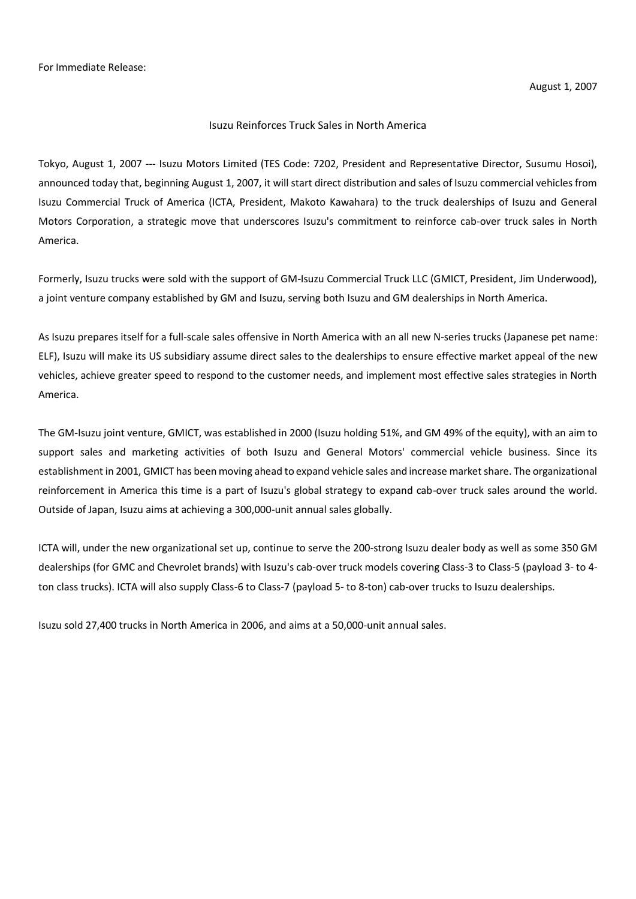For Immediate Release:

## Isuzu Reinforces Truck Sales in North America

Tokyo, August 1, 2007 --- Isuzu Motors Limited (TES Code: 7202, President and Representative Director, Susumu Hosoi), announced today that, beginning August 1, 2007, it will start direct distribution and sales of Isuzu commercial vehicles from Isuzu Commercial Truck of America (ICTA, President, Makoto Kawahara) to the truck dealerships of Isuzu and General Motors Corporation, a strategic move that underscores Isuzu's commitment to reinforce cab-over truck sales in North America.

Formerly, Isuzu trucks were sold with the support of GM-Isuzu Commercial Truck LLC (GMICT, President, Jim Underwood), a joint venture company established by GM and Isuzu, serving both Isuzu and GM dealerships in North America.

As Isuzu prepares itself for a full-scale sales offensive in North America with an all new N-series trucks (Japanese pet name: ELF), Isuzu will make its US subsidiary assume direct sales to the dealerships to ensure effective market appeal of the new vehicles, achieve greater speed to respond to the customer needs, and implement most effective sales strategies in North America.

The GM-Isuzu joint venture, GMICT, was established in 2000 (Isuzu holding 51%, and GM 49% of the equity), with an aim to support sales and marketing activities of both Isuzu and General Motors' commercial vehicle business. Since its establishment in 2001, GMICT has been moving ahead to expand vehicle sales and increase market share. The organizational reinforcement in America this time is a part of Isuzu's global strategy to expand cab-over truck sales around the world. Outside of Japan, Isuzu aims at achieving a 300,000-unit annual sales globally.

ICTA will, under the new organizational set up, continue to serve the 200-strong Isuzu dealer body as well as some 350 GM dealerships (for GMC and Chevrolet brands) with Isuzu's cab-over truck models covering Class-3 to Class-5 (payload 3- to 4 ton class trucks). ICTA will also supply Class-6 to Class-7 (payload 5- to 8-ton) cab-over trucks to Isuzu dealerships.

Isuzu sold 27,400 trucks in North America in 2006, and aims at a 50,000-unit annual sales.